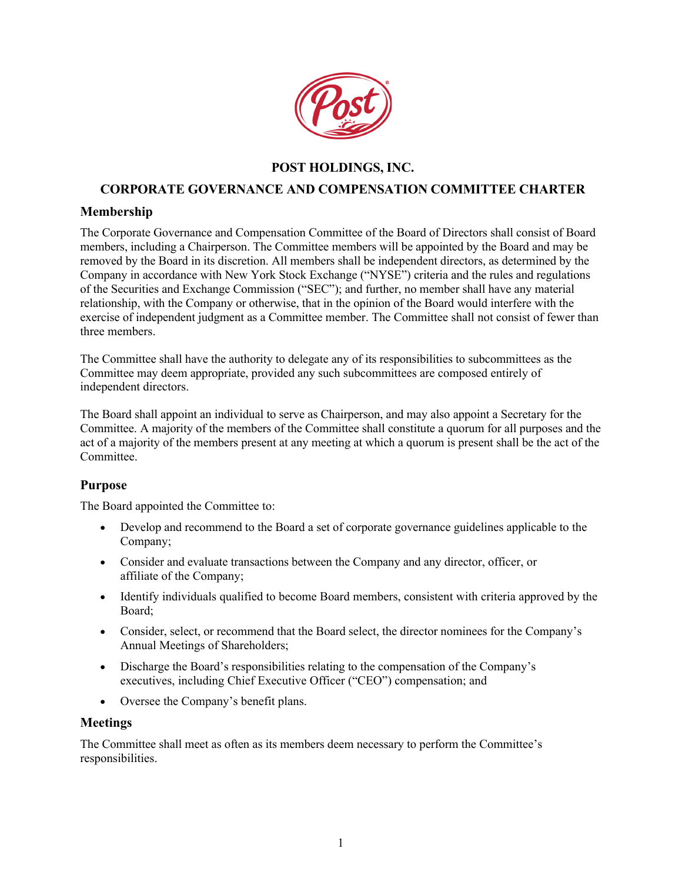

# **POST HOLDINGS, INC.**

### **CORPORATE GOVERNANCE AND COMPENSATION COMMITTEE CHARTER**

### **Membership**

The Corporate Governance and Compensation Committee of the Board of Directors shall consist of Board members, including a Chairperson. The Committee members will be appointed by the Board and may be removed by the Board in its discretion. All members shall be independent directors, as determined by the Company in accordance with New York Stock Exchange ("NYSE") criteria and the rules and regulations of the Securities and Exchange Commission ("SEC"); and further, no member shall have any material relationship, with the Company or otherwise, that in the opinion of the Board would interfere with the exercise of independent judgment as a Committee member. The Committee shall not consist of fewer than three members.

The Committee shall have the authority to delegate any of its responsibilities to subcommittees as the Committee may deem appropriate, provided any such subcommittees are composed entirely of independent directors.

The Board shall appoint an individual to serve as Chairperson, and may also appoint a Secretary for the Committee. A majority of the members of the Committee shall constitute a quorum for all purposes and the act of a majority of the members present at any meeting at which a quorum is present shall be the act of the Committee.

#### **Purpose**

The Board appointed the Committee to:

- Develop and recommend to the Board a set of corporate governance guidelines applicable to the Company;
- Consider and evaluate transactions between the Company and any director, officer, or affiliate of the Company;
- Identify individuals qualified to become Board members, consistent with criteria approved by the Board;
- Consider, select, or recommend that the Board select, the director nominees for the Company's Annual Meetings of Shareholders;
- Discharge the Board's responsibilities relating to the compensation of the Company's executives, including Chief Executive Officer ("CEO") compensation; and
- Oversee the Company's benefit plans.

#### **Meetings**

The Committee shall meet as often as its members deem necessary to perform the Committee's responsibilities.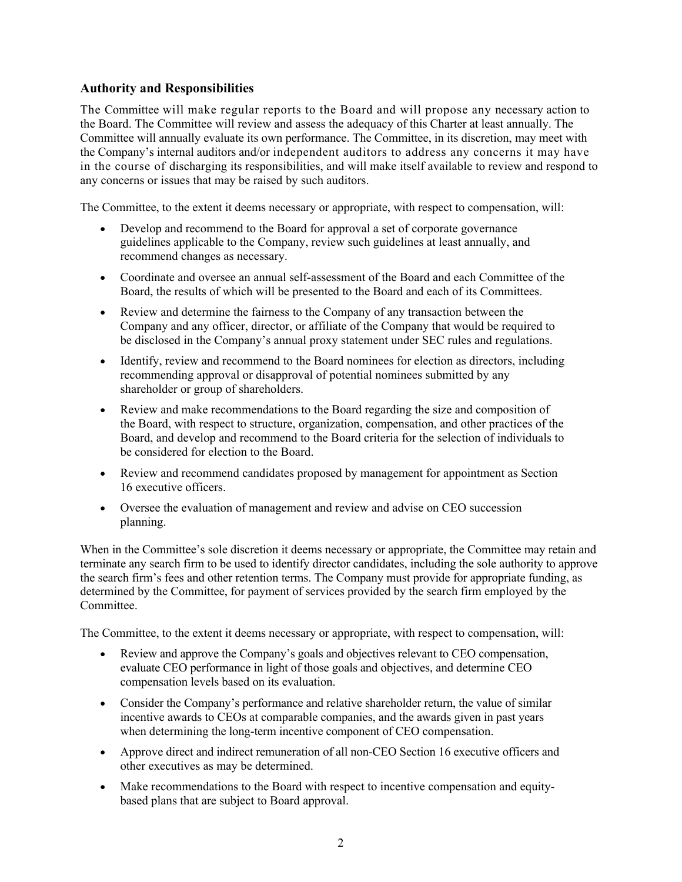## **Authority and Responsibilities**

The Committee will make regular reports to the Board and will propose any necessary action to the Board. The Committee will review and assess the adequacy of this Charter at least annually. The Committee will annually evaluate its own performance. The Committee, in its discretion, may meet with the Company's internal auditors and/or independent auditors to address any concerns it may have in the course of discharging its responsibilities, and will make itself available to review and respond to any concerns or issues that may be raised by such auditors.

The Committee, to the extent it deems necessary or appropriate, with respect to compensation, will:

- Develop and recommend to the Board for approval a set of corporate governance guidelines applicable to the Company, review such guidelines at least annually, and recommend changes as necessary.
- Coordinate and oversee an annual self-assessment of the Board and each Committee of the Board, the results of which will be presented to the Board and each of its Committees.
- Review and determine the fairness to the Company of any transaction between the Company and any officer, director, or affiliate of the Company that would be required to be disclosed in the Company's annual proxy statement under SEC rules and regulations.
- Identify, review and recommend to the Board nominees for election as directors, including recommending approval or disapproval of potential nominees submitted by any shareholder or group of shareholders.
- Review and make recommendations to the Board regarding the size and composition of the Board, with respect to structure, organization, compensation, and other practices of the Board, and develop and recommend to the Board criteria for the selection of individuals to be considered for election to the Board.
- Review and recommend candidates proposed by management for appointment as Section 16 executive officers.
- Oversee the evaluation of management and review and advise on CEO succession planning.

When in the Committee's sole discretion it deems necessary or appropriate, the Committee may retain and terminate any search firm to be used to identify director candidates, including the sole authority to approve the search firm's fees and other retention terms. The Company must provide for appropriate funding, as determined by the Committee, for payment of services provided by the search firm employed by the Committee.

The Committee, to the extent it deems necessary or appropriate, with respect to compensation, will:

- Review and approve the Company's goals and objectives relevant to CEO compensation, evaluate CEO performance in light of those goals and objectives, and determine CEO compensation levels based on its evaluation.
- Consider the Company's performance and relative shareholder return, the value of similar incentive awards to CEOs at comparable companies, and the awards given in past years when determining the long-term incentive component of CEO compensation.
- Approve direct and indirect remuneration of all non-CEO Section 16 executive officers and other executives as may be determined.
- Make recommendations to the Board with respect to incentive compensation and equitybased plans that are subject to Board approval.